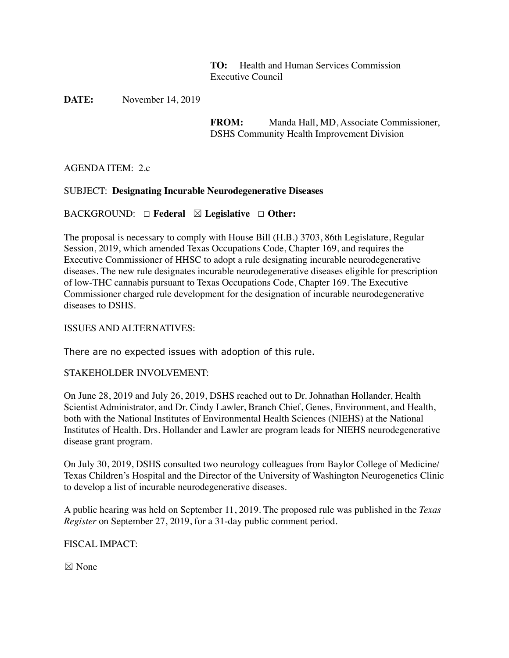**TO:** Health and Human Services Commission Executive Council

**DATE:** November 14, 2019

**FROM:** Manda Hall, MD, Associate Commissioner, DSHS Community Health Improvement Division

AGENDA ITEM: 2.c

### SUBJECT: **Designating Incurable Neurodegenerative Diseases**

#### BACKGROUND: ☐ **Federal** ☒ **Legislative** ☐ **Other:**

The proposal is necessary to comply with House Bill (H.B.) 3703, 86th Legislature, Regular Session, 2019, which amended Texas Occupations Code, Chapter 169, and requires the Executive Commissioner of HHSC to adopt a rule designating incurable neurodegenerative diseases. The new rule designates incurable neurodegenerative diseases eligible for prescription of low-THC cannabis pursuant to Texas Occupations Code, Chapter 169. The Executive Commissioner charged rule development for the designation of incurable neurodegenerative diseases to DSHS.

#### ISSUES AND ALTERNATIVES:

There are no expected issues with adoption of this rule.

#### STAKEHOLDER INVOLVEMENT:

On June 28, 2019 and July 26, 2019, DSHS reached out to Dr. Johnathan Hollander, Health Scientist Administrator, and Dr. Cindy Lawler, Branch Chief, Genes, Environment, and Health, both with the National Institutes of Environmental Health Sciences (NIEHS) at the National Institutes of Health. Drs. Hollander and Lawler are program leads for NIEHS neurodegenerative disease grant program.

On July 30, 2019, DSHS consulted two neurology colleagues from Baylor College of Medicine/ Texas Children's Hospital and the Director of the University of Washington Neurogenetics Clinic to develop a list of incurable neurodegenerative diseases.

A public hearing was held on September 11, 2019. The proposed rule was published in the *Texas Register* on September 27, 2019, for a 31-day public comment period.

FISCAL IMPACT:

☒ None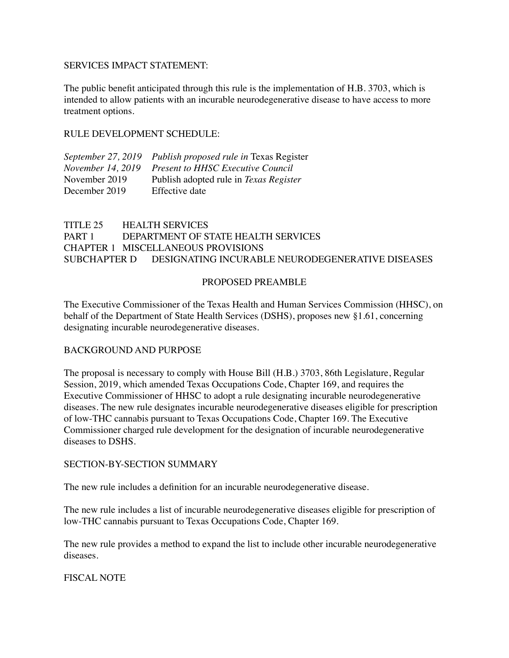#### SERVICES IMPACT STATEMENT:

The public benefit anticipated through this rule is the implementation of H.B. 3703, which is intended to allow patients with an incurable neurodegenerative disease to have access to more treatment options.

#### RULE DEVELOPMENT SCHEDULE:

| September 27, 2019 Publish proposed rule in Texas Register |
|------------------------------------------------------------|
| November 14, 2019 Present to HHSC Executive Council        |
| Publish adopted rule in Texas Register                     |
| Effective date                                             |
|                                                            |

# TITLE 25 HEALTH SERVICES PART 1 DEPARTMENT OF STATE HEALTH SERVICES CHAPTER 1 MISCELLANEOUS PROVISIONS SUBCHAPTER D DESIGNATING INCURABLE NEURODEGENERATIVE DISEASES

### PROPOSED PREAMBLE

The Executive Commissioner of the Texas Health and Human Services Commission (HHSC), on behalf of the Department of State Health Services (DSHS), proposes new §1.61, concerning designating incurable neurodegenerative diseases*.*

### BACKGROUND AND PURPOSE

The proposal is necessary to comply with House Bill (H.B.) 3703, 86th Legislature, Regular Session, 2019, which amended Texas Occupations Code, Chapter 169, and requires the Executive Commissioner of HHSC to adopt a rule designating incurable neurodegenerative diseases. The new rule designates incurable neurodegenerative diseases eligible for prescription of low-THC cannabis pursuant to Texas Occupations Code, Chapter 169. The Executive Commissioner charged rule development for the designation of incurable neurodegenerative diseases to DSHS.

#### SECTION-BY-SECTION SUMMARY

The new rule includes a definition for an incurable neurodegenerative disease.

The new rule includes a list of incurable neurodegenerative diseases eligible for prescription of low-THC cannabis pursuant to Texas Occupations Code, Chapter 169.

The new rule provides a method to expand the list to include other incurable neurodegenerative diseases.

### FISCAL NOTE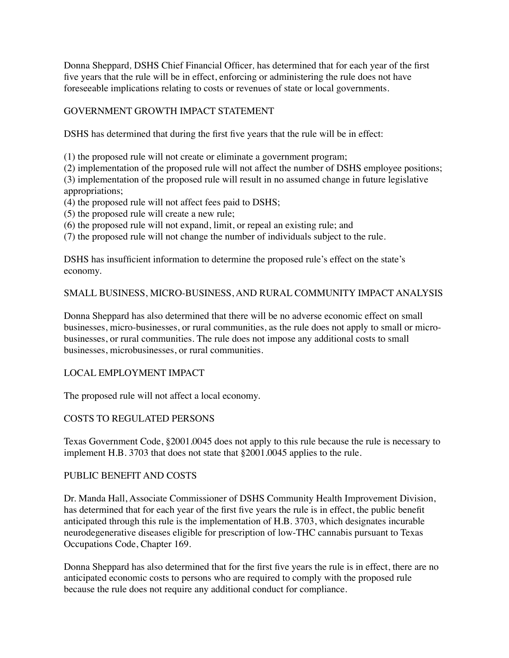Donna Sheppard*,* DSHS Chief Financial Officer*,* has determined that for each year of the first five years that the rule will be in effect, enforcing or administering the rule does not have foreseeable implications relating to costs or revenues of state or local governments.

## GOVERNMENT GROWTH IMPACT STATEMENT

DSHS has determined that during the first five years that the rule will be in effect:

(1) the proposed rule will not create or eliminate a government program;

(2) implementation of the proposed rule will not affect the number of DSHS employee positions;

(3) implementation of the proposed rule will result in no assumed change in future legislative appropriations;

- (4) the proposed rule will not affect fees paid to DSHS;
- (5) the proposed rule will create a new rule;
- (6) the proposed rule will not expand, limit, or repeal an existing rule; and

(7) the proposed rule will not change the number of individuals subject to the rule.

DSHS has insufficient information to determine the proposed rule's effect on the state's economy.

### SMALL BUSINESS, MICRO-BUSINESS, AND RURAL COMMUNITY IMPACT ANALYSIS

Donna Sheppard has also determined that there will be no adverse economic effect on small businesses, micro-businesses, or rural communities, as the rule does not apply to small or microbusinesses, or rural communities*.* The rule does not impose any additional costs to small businesses, microbusinesses, or rural communities.

### LOCAL EMPLOYMENT IMPACT

The proposed rule will not affect a local economy.

# COSTS TO REGULATED PERSONS

Texas Government Code, §2001.0045 does not apply to this rule because the rule is necessary to implement H.B. 3703 that does not state that §2001.0045 applies to the rule.

### PUBLIC BENEFIT AND COSTS

Dr. Manda Hall, Associate Commissioner of DSHS Community Health Improvement Division, has determined that for each year of the first five years the rule is in effect, the public benefit anticipated through this rule is the implementation of H.B. 3703, which designates incurable neurodegenerative diseases eligible for prescription of low-THC cannabis pursuant to Texas Occupations Code, Chapter 169.

Donna Sheppard has also determined that for the first five years the rule is in effect, there are no anticipated economic costs to persons who are required to comply with the proposed rule because the rule does not require any additional conduct for compliance.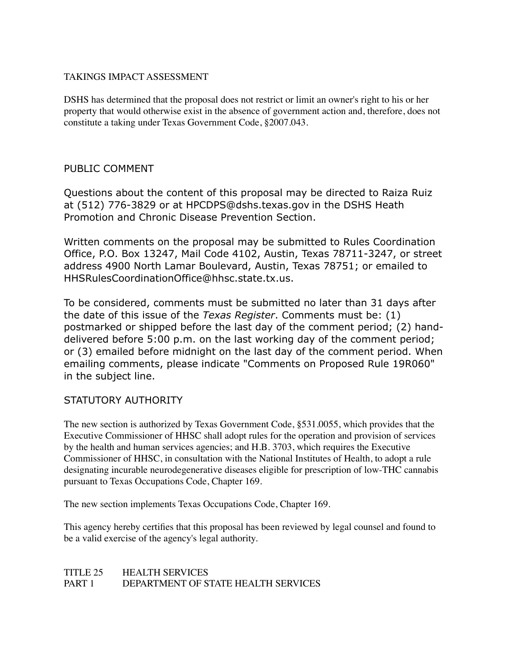### TAKINGS IMPACT ASSESSMENT

DSHS has determined that the proposal does not restrict or limit an owner's right to his or her property that would otherwise exist in the absence of government action and, therefore, does not constitute a taking under Texas Government Code, §2007.043.

# PUBLIC COMMENT

Questions about the content of this proposal may be directed to Raiza Ruiz at (512) 776-3829 or at HPCDPS@dshs.texas.gov in the DSHS Heath Promotion and Chronic Disease Prevention Section.

Written comments on the proposal may be submitted to Rules Coordination Office, P.O. Box 13247, Mail Code 4102, Austin, Texas 78711-3247, or street address 4900 North Lamar Boulevard, Austin, Texas 78751; or emailed to HHSRulesCoordinationOffice@hhsc.state.tx.us.

To be considered, comments must be submitted no later than 31 days after the date of this issue of the *Texas Register*. Comments must be: (1) postmarked or shipped before the last day of the comment period; (2) handdelivered before 5:00 p.m. on the last working day of the comment period; or (3) emailed before midnight on the last day of the comment period. When emailing comments, please indicate "Comments on Proposed Rule 19R060" in the subject line.

# STATUTORY AUTHORITY

The new section is authorized by Texas Government Code, §531.0055, which provides that the Executive Commissioner of HHSC shall adopt rules for the operation and provision of services by the health and human services agencies; and H.B. 3703, which requires the Executive Commissioner of HHSC, in consultation with the National Institutes of Health, to adopt a rule designating incurable neurodegenerative diseases eligible for prescription of low-THC cannabis pursuant to Texas Occupations Code, Chapter 169.

The new section implements Texas Occupations Code, Chapter 169.

This agency hereby certifies that this proposal has been reviewed by legal counsel and found to be a valid exercise of the agency's legal authority.

### TITLE 25 HEALTH SERVICES PART 1 DEPARTMENT OF STATE HEALTH SERVICES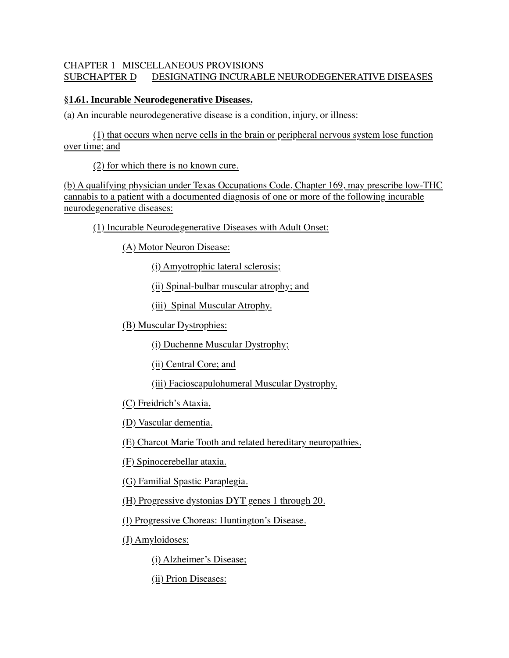# CHAPTER 1 MISCELLANEOUS PROVISIONS SUBCHAPTER D DESIGNATING INCURABLE NEURODEGENERATIVE DISEASES

## **§1.61. Incurable Neurodegenerative Diseases.**

(a) An incurable neurodegenerative disease is a condition, injury, or illness:

(1) that occurs when nerve cells in the brain or peripheral nervous system lose function over time; and

(2) for which there is no known cure.

(b) A qualifying physician under Texas Occupations Code, Chapter 169, may prescribe low-THC cannabis to a patient with a documented diagnosis of one or more of the following incurable neurodegenerative diseases:

(1) Incurable Neurodegenerative Diseases with Adult Onset:

(A) Motor Neuron Disease:

(i) Amyotrophic lateral sclerosis;

(ii) Spinal-bulbar muscular atrophy; and

(iii) Spinal Muscular Atrophy.

(B) Muscular Dystrophies:

(i) Duchenne Muscular Dystrophy;

(ii) Central Core; and

(iii) Facioscapulohumeral Muscular Dystrophy.

(C) Freidrich's Ataxia.

(D) Vascular dementia.

(E) Charcot Marie Tooth and related hereditary neuropathies.

(F) Spinocerebellar ataxia.

(G) Familial Spastic Paraplegia.

(H) Progressive dystonias DYT genes 1 through 20.

(I) Progressive Choreas: Huntington's Disease.

(J) Amyloidoses:

(i) Alzheimer's Disease;

(ii) Prion Diseases: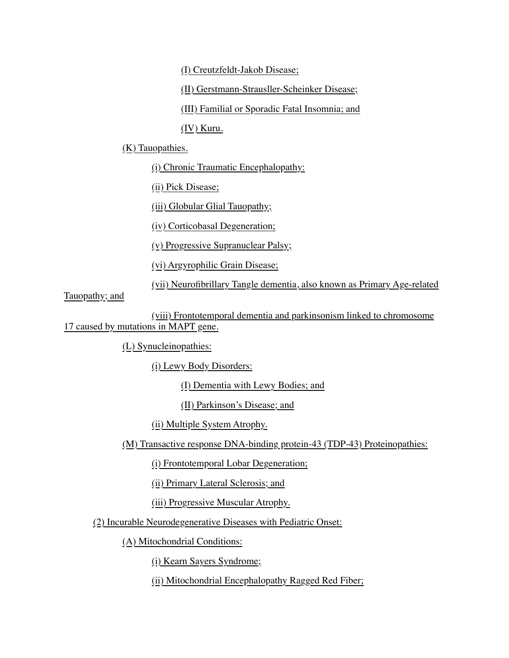(I) Creutzfeldt-Jakob Disease;

(II) Gerstmann-Strausller-Scheinker Disease;

(III) Familial or Sporadic Fatal Insomnia; and

(IV) Kuru.

(K) Tauopathies.

(i) Chronic Traumatic Encephalopathy:

(ii) Pick Disease;

(iii) Globular Glial Tauopathy;

(iv) Corticobasal Degeneration;

(v) Progressive Supranuclear Palsy;

(vi) Argyrophilic Grain Disease;

(vii) Neurofibrillary Tangle dementia, also known as Primary Age-related

Tauopathy; and

(viii) Frontotemporal dementia and parkinsonism linked to chromosome 17 caused by mutations in MAPT gene.

(L) Synucleinopathies:

(i) Lewy Body Disorders:

(I) Dementia with Lewy Bodies; and

(II) Parkinson's Disease; and

(ii) Multiple System Atrophy.

(M) Transactive response DNA-binding protein-43 (TDP-43) Proteinopathies:

(i) Frontotemporal Lobar Degeneration;

(ii) Primary Lateral Sclerosis; and

(iii) Progressive Muscular Atrophy.

(2) Incurable Neurodegenerative Diseases with Pediatric Onset:

(A) Mitochondrial Conditions:

(i) Kearn Sayers Syndrome;

(ii) Mitochondrial Encephalopathy Ragged Red Fiber;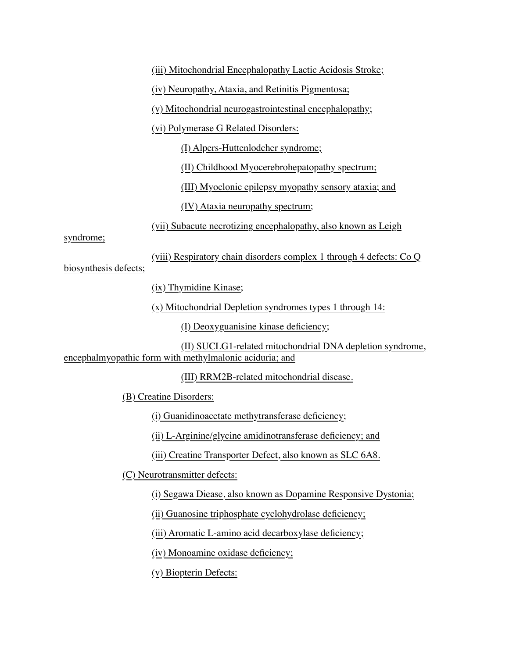(iii) Mitochondrial Encephalopathy Lactic Acidosis Stroke; (iv) Neuropathy, Ataxia, and Retinitis Pigmentosa; (v) Mitochondrial neurogastrointestinal encephalopathy; (vi) Polymerase G Related Disorders: (I) Alpers-Huttenlodcher syndrome; (II) Childhood Myocerebrohepatopathy spectrum; (III) Myoclonic epilepsy myopathy sensory ataxia; and (IV) Ataxia neuropathy spectrum; (vii) Subacute necrotizing encephalopathy, also known as Leigh syndrome; (viii) Respiratory chain disorders complex 1 through 4 defects: Co Q biosynthesis defects; (ix) Thymidine Kinase; (x) Mitochondrial Depletion syndromes types 1 through 14: (I) Deoxyguanisine kinase deficiency; (II) SUCLG1-related mitochondrial DNA depletion syndrome, encephalmyopathic form with methylmalonic aciduria; and (III) RRM2B-related mitochondrial disease. (B) Creatine Disorders: (i) Guanidinoacetate methytransferase deficiency; (ii) L-Arginine/glycine amidinotransferase deficiency; and (iii) Creatine Transporter Defect, also known as SLC 6A8. (C) Neurotransmitter defects: (i) Segawa Diease, also known as Dopamine Responsive Dystonia; (ii) Guanosine triphosphate cyclohydrolase deficiency; (iii) Aromatic L-amino acid decarboxylase deficiency; (iv) Monoamine oxidase deficiency;

(v) Biopterin Defects: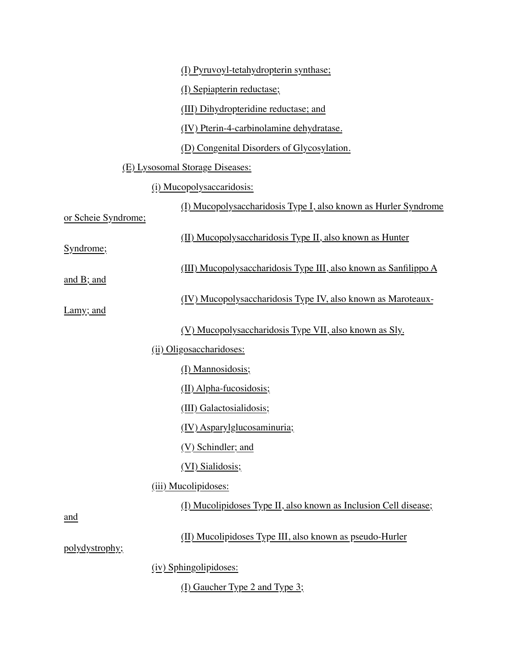|                                 | (I) Pyruvoyl-tetahydropterin synthase;                           |  |
|---------------------------------|------------------------------------------------------------------|--|
|                                 | (I) Sepiapterin reductase;                                       |  |
|                                 | (III) Dihydropteridine reductase; and                            |  |
|                                 | (IV) Pterin-4-carbinolamine dehydratase.                         |  |
|                                 | (D) Congenital Disorders of Glycosylation.                       |  |
| (E) Lysosomal Storage Diseases: |                                                                  |  |
|                                 | (i) Mucopolysaccaridosis:                                        |  |
| or Scheie Syndrome;             | (I) Mucopolysaccharidosis Type I, also known as Hurler Syndrome  |  |
| Syndrome;                       | (II) Mucopolysaccharidosis Type II, also known as Hunter         |  |
| and $B$ ; and                   | (III) Mucopolysaccharidosis Type III, also known as Sanfilippo A |  |
| Lamy; and                       | (IV) Mucopolysaccharidosis Type IV, also known as Maroteaux-     |  |
|                                 | (V) Mucopolysaccharidosis Type VII, also known as Sly.           |  |
|                                 | (ii) Oligosaccharidoses:                                         |  |
|                                 | (I) Mannosidosis;                                                |  |
|                                 | $(\underline{II})$ Alpha-fucosidosis;                            |  |
|                                 | (III) Galactosialidosis;                                         |  |
|                                 | (IV) Asparylglucosaminuria;                                      |  |
|                                 | (V) Schindler; and                                               |  |
|                                 | (VI) Sialidosis;                                                 |  |
|                                 | (iii) Mucolipidoses:                                             |  |
| and                             | (I) Mucolipidoses Type II, also known as Inclusion Cell disease; |  |
| polydystrophy;                  | (II) Mucolipidoses Type III, also known as pseudo-Hurler         |  |
|                                 | (iv) Sphingolipidoses:                                           |  |

(I) Gaucher Type 2 and Type 3;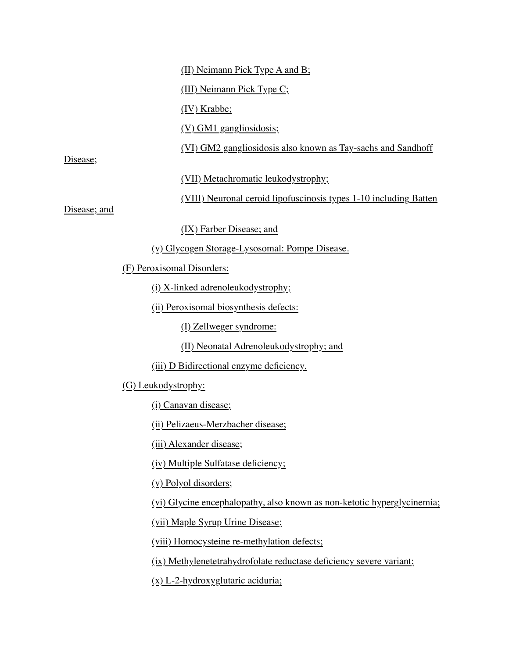(II) Neimann Pick Type A and B;

(III) Neimann Pick Type C;

(IV) Krabbe;

(V) GM1 gangliosidosis;

(VI) GM2 gangliosidosis also known as Tay-sachs and Sandhoff

Disease;

(VII) Metachromatic leukodystrophy;

(VIII) Neuronal ceroid lipofuscinosis types 1-10 including Batten

Disease; and

(IX) Farber Disease; and

(v) Glycogen Storage-Lysosomal: Pompe Disease.

(F) Peroxisomal Disorders:

(i) X-linked adrenoleukodystrophy;

(ii) Peroxisomal biosynthesis defects:

(I) Zellweger syndrome:

(II) Neonatal Adrenoleukodystrophy; and

(iii) D Bidirectional enzyme deficiency.

(G) Leukodystrophy:

(i) Canavan disease;

(ii) Pelizaeus-Merzbacher disease;

(iii) Alexander disease;

(iv) Multiple Sulfatase deficiency;

(v) Polyol disorders;

(vi) Glycine encephalopathy, also known as non-ketotic hyperglycinemia;

(vii) Maple Syrup Urine Disease;

(viii) Homocysteine re-methylation defects;

(ix) Methylenetetrahydrofolate reductase deficiency severe variant;

(x) L-2-hydroxyglutaric aciduria;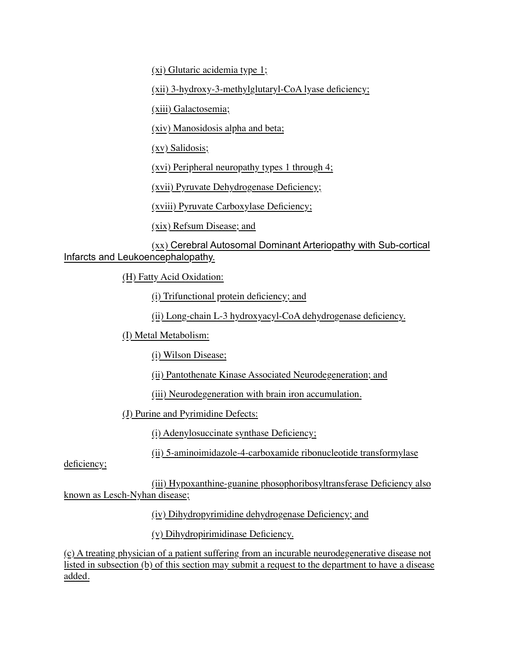(xi) Glutaric acidemia type 1;

(xii) 3-hydroxy-3-methylglutaryl-CoA lyase deficiency;

(xiii) Galactosemia;

(xiv) Manosidosis alpha and beta;

(xv) Salidosis;

(xvi) Peripheral neuropathy types 1 through 4;

(xvii) Pyruvate Dehydrogenase Deficiency;

(xviii) Pyruvate Carboxylase Deficiency;

(xix) Refsum Disease; and

(xx) Cerebral Autosomal Dominant Arteriopathy with Sub-cortical Infarcts and Leukoencephalopathy.

(H) Fatty Acid Oxidation:

(i) Trifunctional protein deficiency; and

(ii) Long-chain L-3 hydroxyacyl-CoA dehydrogenase deficiency.

(I) Metal Metabolism:

(i) Wilson Disease;

(ii) Pantothenate Kinase Associated Neurodegeneration; and

(iii) Neurodegeneration with brain iron accumulation.

(J) Purine and Pyrimidine Defects:

(i) Adenylosuccinate synthase Deficiency;

(ii) 5-aminoimidazole-4-carboxamide ribonucleotide transformylase

deficiency;

(iii) Hypoxanthine-guanine phosophoribosyltransferase Deficiency also known as Lesch-Nyhan disease;

(iv) Dihydropyrimidine dehydrogenase Deficiency; and

(v) Dihydropirimidinase Deficiency.

(c) A treating physician of a patient suffering from an incurable neurodegenerative disease not listed in subsection (b) of this section may submit a request to the department to have a disease added.